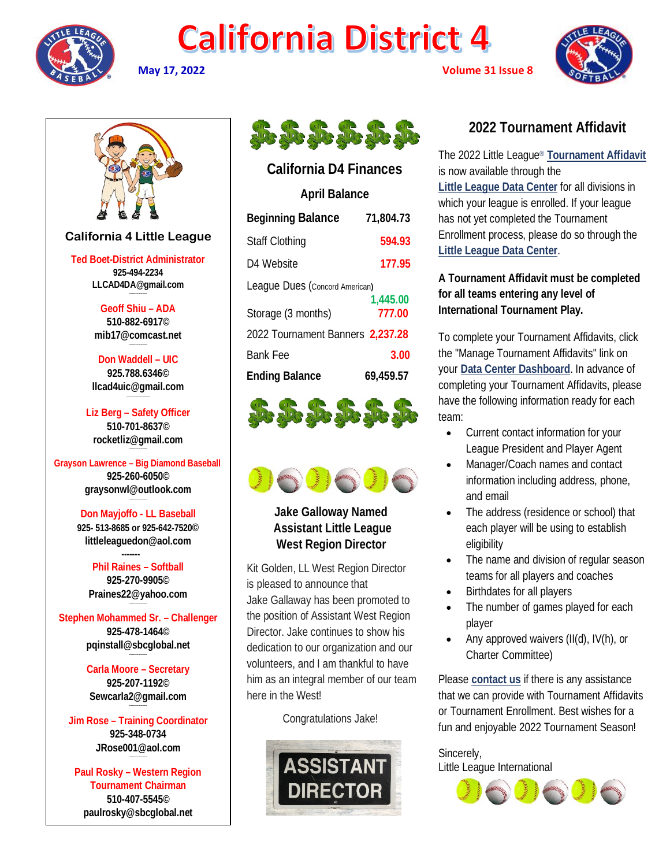

## **California District 4**







### **California 4 Little League**

**Ted Boet-District Administrator 925-494-2234 LLCAD4DA@gmail.com**

> **Geoff Shiu – ADA 510-882-6917© [mib17@comcast.net](mailto:mib17@comcast.net)**

**Don Waddell – UIC 925.788.6346© [llcad4uic@gmail.com](mailto:llcad4uic@gmail.com)**

**Liz Berg – Safety Officer 510-701-8637© [rocketliz@gmail.com](mailto:rocketliz@gmail.com)**

#### **Grayson Lawrence – Big Diamond Baseball 925-260-6050© graysonwl@outlook.com**

**Don Mayjoffo - LL Baseball 925- 513-8685 or 925-642-7520© littleleaguedon@aol.com**

 **------- Phil Raines – Softball 925-270-9905© [Praines22@yahoo.com](mailto:Praines22@yahoo.com)**

**--------------------**

**Stephen Mohammed Sr. – Challenger 925-478-1464© [pqinstall@sbcglobal.net](mailto:pqinstall@sbcglobal.net)**

> **Carla Moore – Secretary 925-207-1192© [Sewcarla2@gmail.com](mailto:Sewcarla2@gmail.com)**

**Jim Rose – Training Coordinator 925-348-0734 JRose001@aol.com**

**Paul Rosky – Western Region Tournament Chairman 510-407-5545© [paulrosky@sbcglobal.net](mailto:paulrosky@sbcglobal.net)**



### **California D4 Finances**

| <b>April Balance</b>             |           |
|----------------------------------|-----------|
| <b>Beginning Balance</b>         | 71,804.73 |
| Staff Clothing                   | 594.93    |
| D4 Website                       | 177.95    |
| Leaque Dues (Concord American)   |           |
|                                  | 1,445.00  |
| Storage (3 months)               | 777.00    |
| 2022 Tournament Banners 2,237.28 |           |
| <b>Bank Fee</b>                  | 3.00      |
| <b>Ending Balance</b>            | 69,459.57 |
|                                  |           |





 **Jake Galloway Named Assistant Little League West Region Director**

Kit Golden, LL West Region Director is pleased to announce that Jake Gallaway has been promoted to the position of Assistant West Region Director. Jake continues to show his dedication to our organization and our volunteers, and I am thankful to have him as an integral member of our team here in the West!

Congratulations Jake!



## **2022 Tournament Affidavit**

The 2022 Little League® **[Tournament Affidavit](http://click.email.littleleague.org/?qs=9686c92ea00accf2505b04e9ec7b2f8bb568da8c706fcbb0be6aa6e46abdb325b4a46b40de8ae9a72117fee9a2db97907c46e61341c11805)** is now available through the **[Little League Data Center](http://click.email.littleleague.org/?qs=9686c92ea00accf2436f47aca2dcc2ea1feac572cd18f5a19aacd84bbeb0a76623d04cb64cdb51dcf39890c4a49bd319957d3dc8a1330c20)** for all divisions in which your league is enrolled. If your league has not yet completed the Tournament Enrollment process, please do so through the **[Little League Data Center](http://click.email.littleleague.org/?qs=9686c92ea00accf2436f47aca2dcc2ea1feac572cd18f5a19aacd84bbeb0a76623d04cb64cdb51dcf39890c4a49bd319957d3dc8a1330c20)**.

### **A Tournament Affidavit must be completed for all teams entering any level of International Tournament Play.**

To complete your Tournament Affidavits, click the "Manage Tournament Affidavits" link on your **[Data Center Dashboard](http://click.email.littleleague.org/?qs=9686c92ea00accf2436f47aca2dcc2ea1feac572cd18f5a19aacd84bbeb0a76623d04cb64cdb51dcf39890c4a49bd319957d3dc8a1330c20)**. In advance of completing your Tournament Affidavits, please have the following information ready for each team:

- Current contact information for your League President and Player Agent
- Manager/Coach names and contact information including address, phone, and email
- The address (residence or school) that each player will be using to establish eligibility
- The name and division of regular season teams for all players and coaches
- Birthdates for all players
- The number of games played for each player
- Any approved waivers (II(d), IV(h), or Charter Committee)

Please **[contact us](http://click.email.littleleague.org/?qs=9686c92ea00accf2f665ea26e9c0bdf96349246f7421c574b94ad4b4c5db35a50e28f9662d815f7926f8fe4e192606c10a9db4cc36dd5fbd)** if there is any assistance that we can provide with Tournament Affidavits or Tournament Enrollment. Best wishes for a fun and enjoyable 2022 Tournament Season!

Sincerely, Little League International